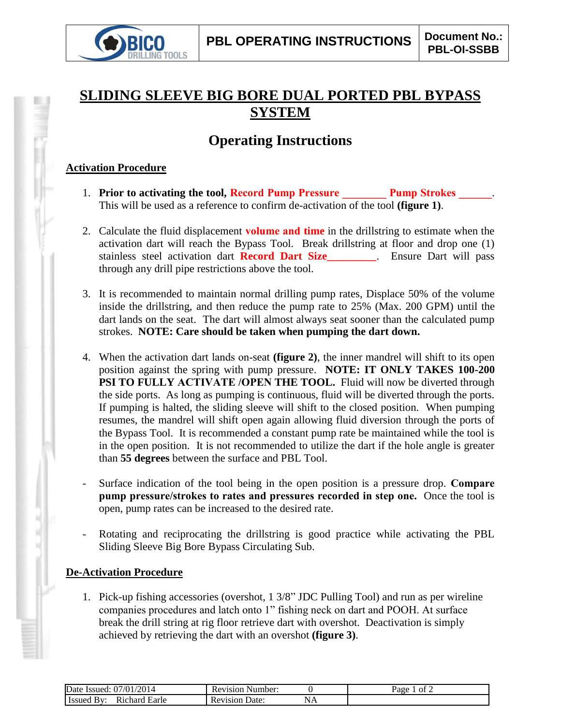

## **SLIDING SLEEVE BIG BORE DUAL PORTED PBL BYPASS SYSTEM**

## **Operating Instructions**

## **Activation Procedure**

- 1. **Prior to activating the tool, Record Pump Pressure \_\_\_\_\_\_\_\_ Pump Strokes \_\_\_\_\_\_**. This will be used as a reference to confirm de-activation of the tool **(figure 1)**.
- 2. Calculate the fluid displacement **volume and time** in the drillstring to estimate when the activation dart will reach the Bypass Tool. Break drillstring at floor and drop one (1) stainless steel activation dart **Record Dart Size\_\_\_\_\_\_\_\_\_**. Ensure Dart will pass through any drill pipe restrictions above the tool.
- 3. It is recommended to maintain normal drilling pump rates, Displace 50% of the volume inside the drillstring, and then reduce the pump rate to 25% (Max. 200 GPM) until the dart lands on the seat. The dart will almost always seat sooner than the calculated pump strokes. **NOTE: Care should be taken when pumping the dart down.**
- 4. When the activation dart lands on-seat **(figure 2)**, the inner mandrel will shift to its open position against the spring with pump pressure. **NOTE: IT ONLY TAKES 100-200 PSI TO FULLY ACTIVATE /OPEN THE TOOL.** Fluid will now be diverted through the side ports. As long as pumping is continuous, fluid will be diverted through the ports. If pumping is halted, the sliding sleeve will shift to the closed position. When pumping resumes, the mandrel will shift open again allowing fluid diversion through the ports of the Bypass Tool. It is recommended a constant pump rate be maintained while the tool is in the open position. It is not recommended to utilize the dart if the hole angle is greater than **55 degrees** between the surface and PBL Tool.
- Surface indication of the tool being in the open position is a pressure drop. **Compare pump pressure/strokes to rates and pressures recorded in step one.** Once the tool is open, pump rates can be increased to the desired rate.
- Rotating and reciprocating the drillstring is good practice while activating the PBL Sliding Sleeve Big Bore Bypass Circulating Sub.

## **De-Activation Procedure**

1. Pick-up fishing accessories (overshot, 1 3/8" JDC Pulling Tool) and run as per wireline companies procedures and latch onto 1" fishing neck on dart and POOH. At surface break the drill string at rig floor retrieve dart with overshot. Deactivation is simply achieved by retrieving the dart with an overshot **(figure 3)**.

| /2014<br>Let Issued: $07/01$ / $\degree$<br>Date | Revision Number:              |    | ot $\lambda$<br>Page |
|--------------------------------------------------|-------------------------------|----|----------------------|
| Issued By:<br>Earle<br>Richard                   | Date <sup>-</sup><br>Revision | NЛ |                      |